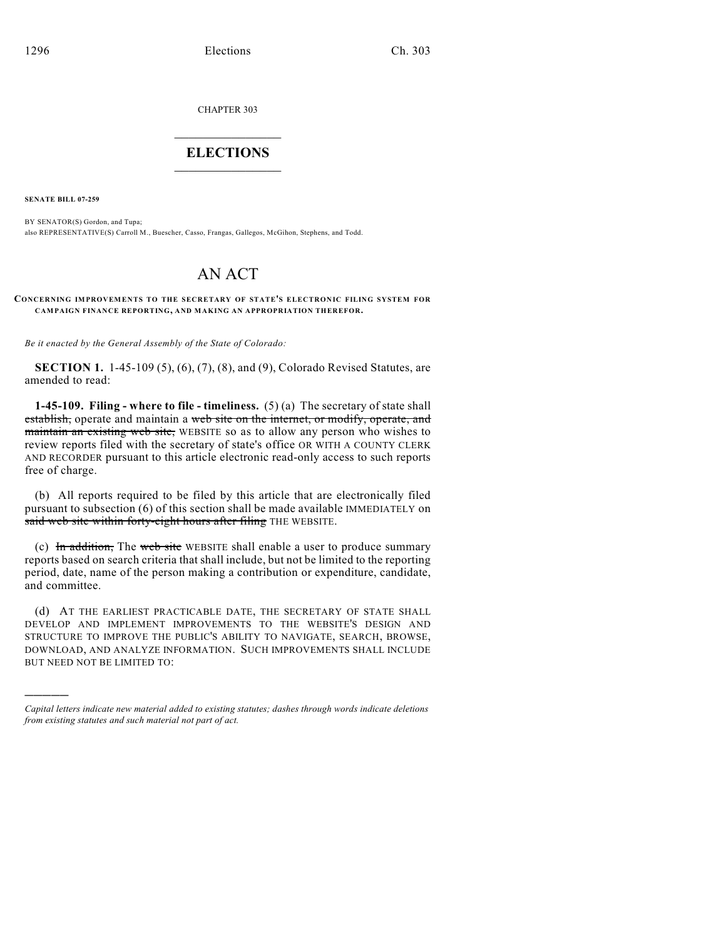CHAPTER 303

## $\mathcal{L}_\text{max}$  . The set of the set of the set of the set of the set of the set of the set of the set of the set of the set of the set of the set of the set of the set of the set of the set of the set of the set of the set **ELECTIONS**  $\_$

**SENATE BILL 07-259**

)))))

BY SENATOR(S) Gordon, and Tupa; also REPRESENTATIVE(S) Carroll M., Buescher, Casso, Frangas, Gallegos, McGihon, Stephens, and Todd.

## AN ACT

## **CONCERNING IMPROVEMENTS TO THE SECRETARY OF STATE'S ELECTRONIC FILING SYSTEM FOR CAMPAIGN FINANCE REPORTING, AND MAKING AN APPROPRIATION THEREFOR.**

*Be it enacted by the General Assembly of the State of Colorado:*

**SECTION 1.** 1-45-109 (5), (6), (7), (8), and (9), Colorado Revised Statutes, are amended to read:

**1-45-109. Filing - where to file - timeliness.** (5) (a) The secretary of state shall establish, operate and maintain a web site on the internet, or modify, operate, and maintain an existing web site, WEBSITE so as to allow any person who wishes to review reports filed with the secretary of state's office OR WITH A COUNTY CLERK AND RECORDER pursuant to this article electronic read-only access to such reports free of charge.

(b) All reports required to be filed by this article that are electronically filed pursuant to subsection (6) of this section shall be made available IMMEDIATELY on said web site within forty-eight hours after filing THE WEBSITE.

(c) In addition, The web site WEBSITE shall enable a user to produce summary reports based on search criteria that shall include, but not be limited to the reporting period, date, name of the person making a contribution or expenditure, candidate, and committee.

(d) AT THE EARLIEST PRACTICABLE DATE, THE SECRETARY OF STATE SHALL DEVELOP AND IMPLEMENT IMPROVEMENTS TO THE WEBSITE'S DESIGN AND STRUCTURE TO IMPROVE THE PUBLIC'S ABILITY TO NAVIGATE, SEARCH, BROWSE, DOWNLOAD, AND ANALYZE INFORMATION. SUCH IMPROVEMENTS SHALL INCLUDE BUT NEED NOT BE LIMITED TO:

*Capital letters indicate new material added to existing statutes; dashes through words indicate deletions from existing statutes and such material not part of act.*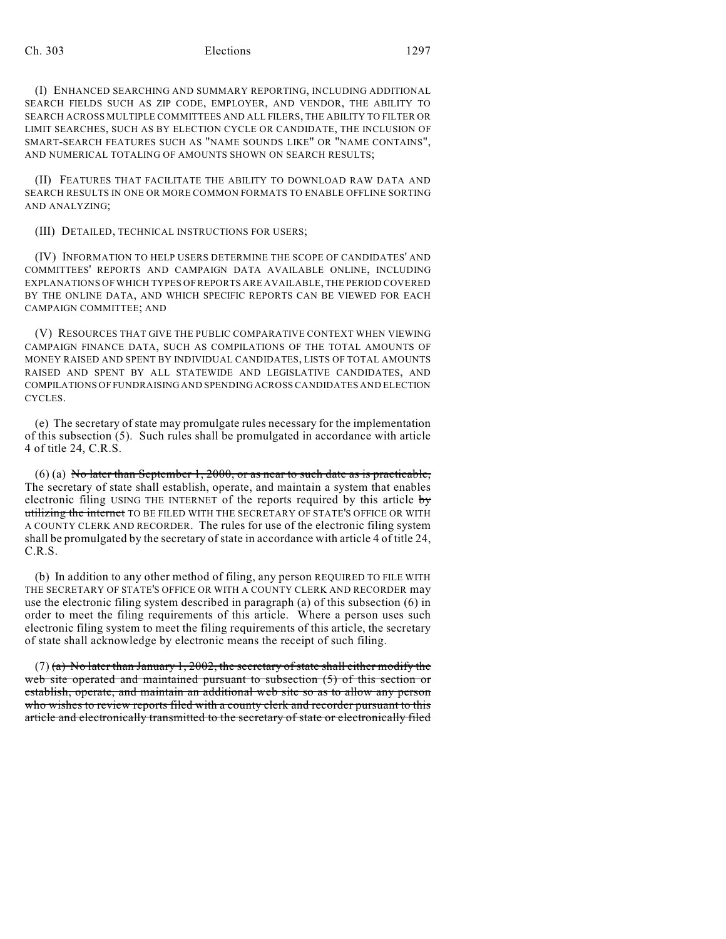(I) ENHANCED SEARCHING AND SUMMARY REPORTING, INCLUDING ADDITIONAL SEARCH FIELDS SUCH AS ZIP CODE, EMPLOYER, AND VENDOR, THE ABILITY TO SEARCH ACROSS MULTIPLE COMMITTEES AND ALL FILERS, THE ABILITY TO FILTER OR LIMIT SEARCHES, SUCH AS BY ELECTION CYCLE OR CANDIDATE, THE INCLUSION OF SMART-SEARCH FEATURES SUCH AS "NAME SOUNDS LIKE" OR "NAME CONTAINS", AND NUMERICAL TOTALING OF AMOUNTS SHOWN ON SEARCH RESULTS;

(II) FEATURES THAT FACILITATE THE ABILITY TO DOWNLOAD RAW DATA AND SEARCH RESULTS IN ONE OR MORE COMMON FORMATS TO ENABLE OFFLINE SORTING AND ANALYZING;

(III) DETAILED, TECHNICAL INSTRUCTIONS FOR USERS;

(IV) INFORMATION TO HELP USERS DETERMINE THE SCOPE OF CANDIDATES' AND COMMITTEES' REPORTS AND CAMPAIGN DATA AVAILABLE ONLINE, INCLUDING EXPLANATIONS OF WHICH TYPES OFREPORTS ARE AVAILABLE, THE PERIOD COVERED BY THE ONLINE DATA, AND WHICH SPECIFIC REPORTS CAN BE VIEWED FOR EACH CAMPAIGN COMMITTEE; AND

(V) RESOURCES THAT GIVE THE PUBLIC COMPARATIVE CONTEXT WHEN VIEWING CAMPAIGN FINANCE DATA, SUCH AS COMPILATIONS OF THE TOTAL AMOUNTS OF MONEY RAISED AND SPENT BY INDIVIDUAL CANDIDATES, LISTS OF TOTAL AMOUNTS RAISED AND SPENT BY ALL STATEWIDE AND LEGISLATIVE CANDIDATES, AND COMPILATIONS OF FUNDRAISING AND SPENDING ACROSS CANDIDATES AND ELECTION CYCLES.

(e) The secretary of state may promulgate rules necessary for the implementation of this subsection (5). Such rules shall be promulgated in accordance with article 4 of title 24, C.R.S.

(6) (a) No later than September 1, 2000, or as near to such date as is practicable, The secretary of state shall establish, operate, and maintain a system that enables electronic filing USING THE INTERNET of the reports required by this article by utilizing the internet TO BE FILED WITH THE SECRETARY OF STATE'S OFFICE OR WITH A COUNTY CLERK AND RECORDER. The rules for use of the electronic filing system shall be promulgated by the secretary of state in accordance with article 4 of title 24, C.R.S.

(b) In addition to any other method of filing, any person REQUIRED TO FILE WITH THE SECRETARY OF STATE'S OFFICE OR WITH A COUNTY CLERK AND RECORDER may use the electronic filing system described in paragraph (a) of this subsection (6) in order to meet the filing requirements of this article. Where a person uses such electronic filing system to meet the filing requirements of this article, the secretary of state shall acknowledge by electronic means the receipt of such filing.

(7) (a) No later than January 1, 2002, the secretary of state shall either modify the web site operated and maintained pursuant to subsection (5) of this section or establish, operate, and maintain an additional web site so as to allow any person who wishes to review reports filed with a county clerk and recorder pursuant to this article and electronically transmitted to the secretary of state or electronically filed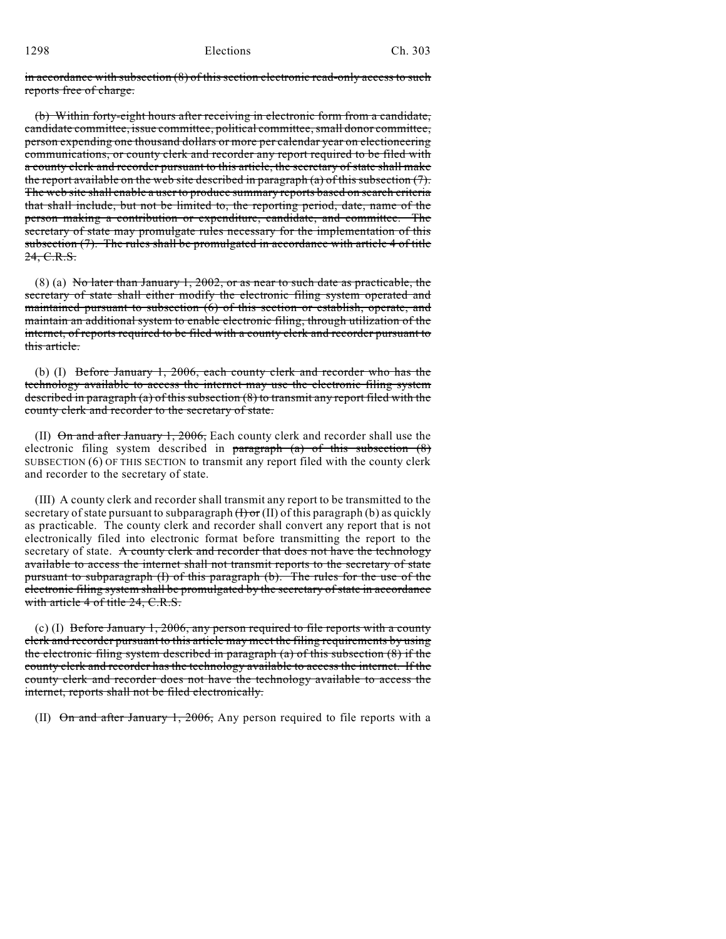in accordance with subsection (8) of this section electronic read-only access to such reports free of charge.

(b) Within forty-eight hours after receiving in electronic form from a candidate, candidate committee, issue committee, political committee, small donor committee, person expending one thousand dollars or more per calendar year on electioneering communications, or county clerk and recorder any report required to be filed with a county clerk and recorder pursuant to this article, the secretary of state shall make the report available on the web site described in paragraph  $(a)$  of this subsection  $(7)$ . The web site shall enable a user to produce summary reports based on search criteria that shall include, but not be limited to, the reporting period, date, name of the person making a contribution or expenditure, candidate, and committee. The secretary of state may promulgate rules necessary for the implementation of this subsection  $(7)$ . The rules shall be promulgated in accordance with article 4 of title 24, C.R.S.

(8) (a) No later than January 1, 2002, or as near to such date as practicable, the secretary of state shall either modify the electronic filing system operated and maintained pursuant to subsection (6) of this section or establish, operate, and maintain an additional system to enable electronic filing, through utilization of the internet, of reports required to be filed with a county clerk and recorder pursuant to this article.

(b) (I) Before January 1, 2006, each county clerk and recorder who has the technology available to access the internet may use the electronic filing system described in paragraph (a) of this subsection (8) to transmit any report filed with the county clerk and recorder to the secretary of state.

(II)  $\Theta$ n and after January 1, 2006, Each county clerk and recorder shall use the electronic filing system described in  $\frac{1}{2}$  paragraph (a) of this subsection (8) SUBSECTION (6) OF THIS SECTION to transmit any report filed with the county clerk and recorder to the secretary of state.

(III) A county clerk and recorder shall transmit any report to be transmitted to the secretary of state pursuant to subparagraph  $(H)$  or (II) of this paragraph (b) as quickly as practicable. The county clerk and recorder shall convert any report that is not electronically filed into electronic format before transmitting the report to the secretary of state. A county clerk and recorder that does not have the technology available to access the internet shall not transmit reports to the secretary of state pursuant to subparagraph (I) of this paragraph (b). The rules for the use of the electronic filing system shall be promulgated by the secretary of state in accordance with article 4 of title 24, C.R.S.

(c) (I) Before January 1, 2006, any person required to file reports with a county clerk and recorder pursuant to this article may meet the filing requirements by using the electronic filing system described in paragraph (a) of this subsection (8) if the county clerk and recorder has the technology available to access the internet. If the county clerk and recorder does not have the technology available to access the internet, reports shall not be filed electronically.

(II)  $\Theta$ n and after January 1, 2006, Any person required to file reports with a